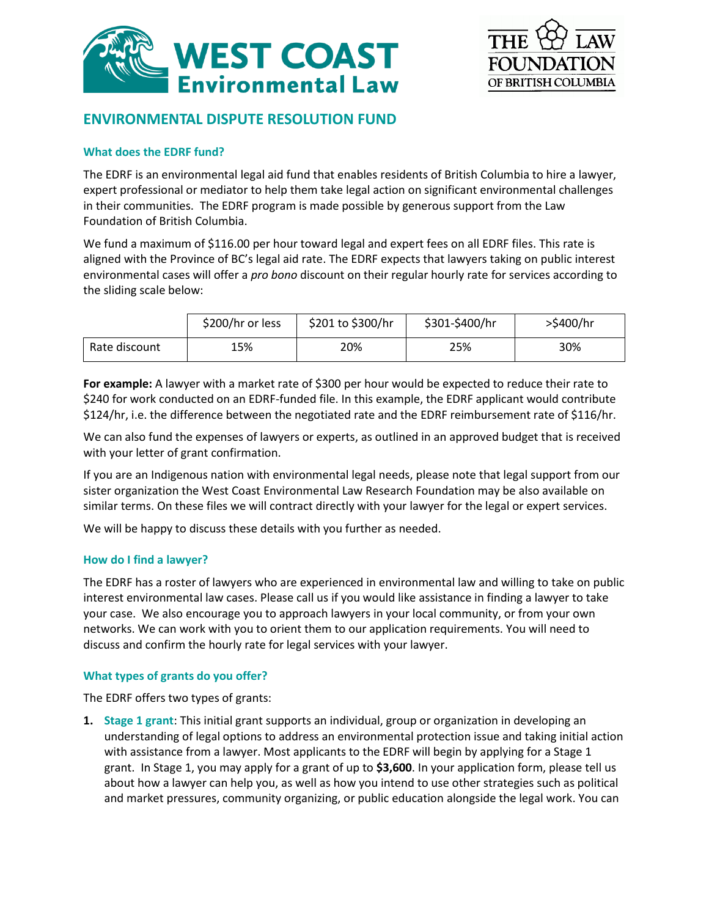



# **ENVIRONMENTAL DISPUTE RESOLUTION FUND**

## **What does the EDRF fund?**

The EDRF is an environmental legal aid fund that enables residents of British Columbia to hire a lawyer, expert professional or mediator to help them take legal action on significant environmental challenges in their communities. The EDRF program is made possible by generous support from the Law Foundation of British Columbia.

We fund a maximum of \$116.00 per hour toward legal and expert fees on all EDRF files. This rate is aligned with the Province of BC's legal aid rate. The EDRF expects that lawyers taking on public interest environmental cases will offer a *pro bono* discount on their regular hourly rate for services according to the sliding scale below:

|               | \$200/hr or less | \$201 to \$300/hr | \$301-\$400/hr | >\$400/hr |
|---------------|------------------|-------------------|----------------|-----------|
| Rate discount | 15%              | 20%               | 25%            | 30%       |

**For example:** A lawyer with a market rate of \$300 per hour would be expected to reduce their rate to \$240 for work conducted on an EDRF-funded file. In this example, the EDRF applicant would contribute \$124/hr, i.e. the difference between the negotiated rate and the EDRF reimbursement rate of \$116/hr.

We can also fund the expenses of lawyers or experts, as outlined in an approved budget that is received with your letter of grant confirmation.

If you are an Indigenous nation with environmental legal needs, please note that legal support from our sister organization the West Coast Environmental Law Research Foundation may be also available on similar terms. On these files we will contract directly with your lawyer for the legal or expert services.

We will be happy to discuss these details with you further as needed.

## **How do I find a lawyer?**

The EDRF has a roster of lawyers who are experienced in environmental law and willing to take on public interest environmental law cases. Please call us if you would like assistance in finding a lawyer to take your case. We also encourage you to approach lawyers in your local community, or from your own networks. We can work with you to orient them to our application requirements. You will need to discuss and confirm the hourly rate for legal services with your lawyer.

## **What types of grants do you offer?**

The EDRF offers two types of grants:

**1. Stage 1 grant**: This initial grant supports an individual, group or organization in developing an understanding of legal options to address an environmental protection issue and taking initial action with assistance from a lawyer. Most applicants to the EDRF will begin by applying for a Stage 1 grant. In Stage 1, you may apply for a grant of up to **\$3,600**. In your application form, please tell us about how a lawyer can help you, as well as how you intend to use other strategies such as political and market pressures, community organizing, or public education alongside the legal work. You can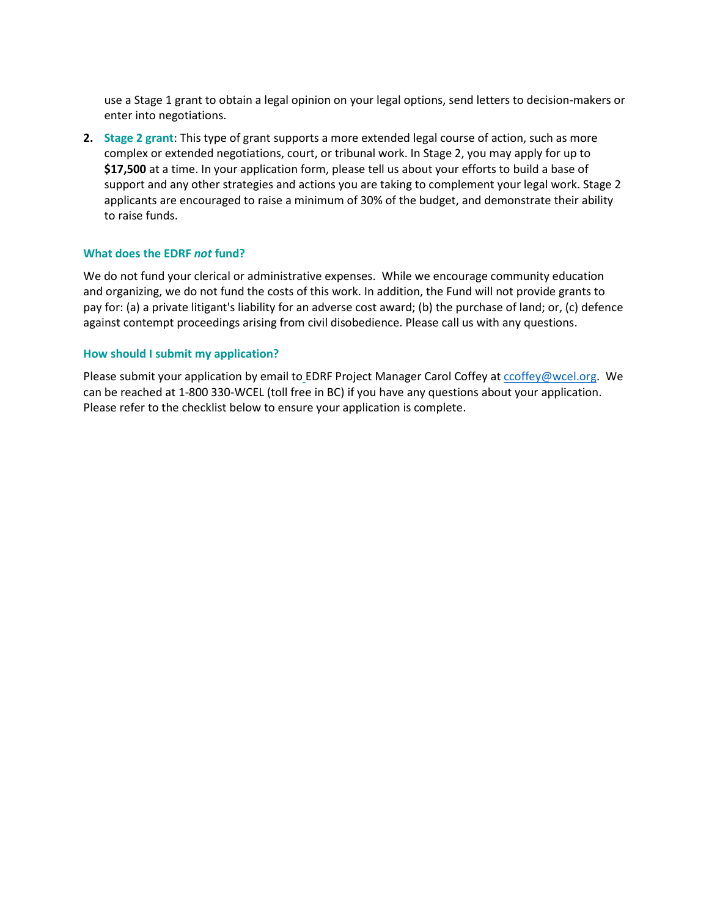use a Stage 1 grant to obtain a legal opinion on your legal options, send letters to decision-makers or enter into negotiations.

**2. Stage 2 grant**: This type of grant supports a more extended legal course of action, such as more complex or extended negotiations, court, or tribunal work. In Stage 2, you may apply for up to **\$17,500** at a time. In your application form, please tell us about your efforts to build a base of support and any other strategies and actions you are taking to complement your legal work. Stage 2 applicants are encouraged to raise a minimum of 30% of the budget, and demonstrate their ability to raise funds.

#### **What does the EDRF** *not* **fund?**

We do not fund your clerical or administrative expenses. While we encourage community education and organizing, we do not fund the costs of this work. In addition, the Fund will not provide grants to pay for: (a) a private litigant's liability for an adverse cost award; (b) the purchase of land; or, (c) defence against contempt proceedings arising from civil disobedience. Please call us with any questions.

#### **How should I submit my application?**

Please submit your application by email to EDRF Project Manager Carol Coffey at [ccoffey@wcel.org.](mailto:ccoffey@wcel.org) We can be reached at 1-800 330-WCEL (toll free in BC) if you have any questions about your application. Please refer to the checklist below to ensure your application is complete.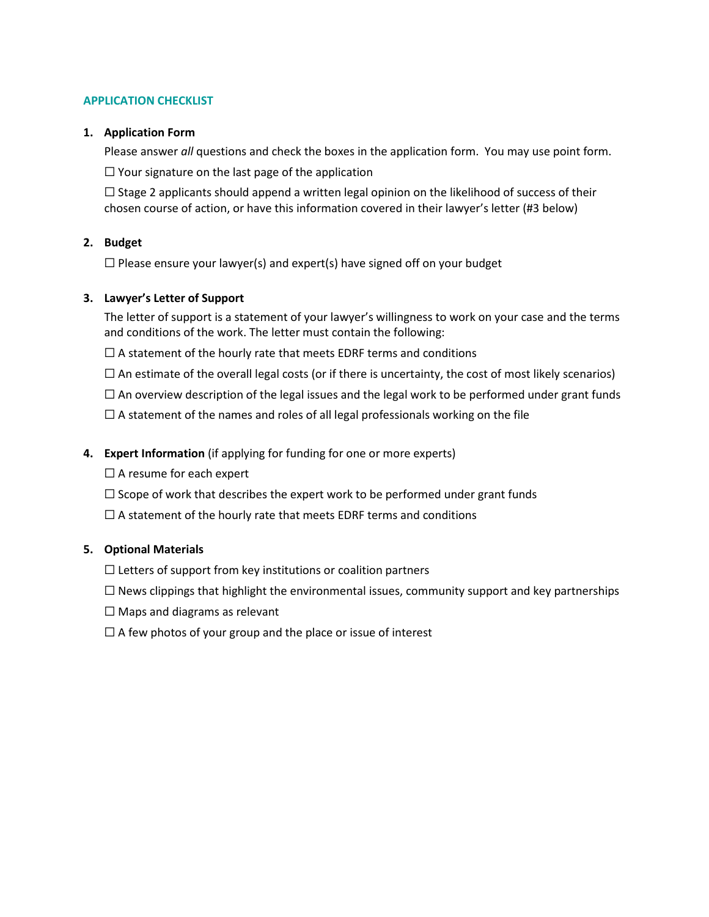## **APPLICATION CHECKLIST**

#### **1. Application Form**

Please answer *all* questions and check the boxes in the application form. You may use point form.

 $\Box$  Your signature on the last page of the application

 $\Box$  Stage 2 applicants should append a written legal opinion on the likelihood of success of their chosen course of action, or have this information covered in their lawyer's letter (#3 below)

## **2. Budget**

 $\Box$  Please ensure your lawyer(s) and expert(s) have signed off on your budget

#### **3. Lawyer's Letter of Support**

The letter of support is a statement of your lawyer's willingness to work on your case and the terms and conditions of the work. The letter must contain the following:

 $\Box$  A statement of the hourly rate that meets EDRF terms and conditions

 $\Box$  An estimate of the overall legal costs (or if there is uncertainty, the cost of most likely scenarios)

 $\Box$  An overview description of the legal issues and the legal work to be performed under grant funds

 $\Box$  A statement of the names and roles of all legal professionals working on the file

#### **4. Expert Information** (if applying for funding for one or more experts)

 $\Box$  A resume for each expert

 $\Box$  Scope of work that describes the expert work to be performed under grant funds

 $\Box$  A statement of the hourly rate that meets EDRF terms and conditions

## **5. Optional Materials**

 $\Box$  Letters of support from key institutions or coalition partners

 $\Box$  News clippings that highlight the environmental issues, community support and key partnerships

 $\Box$  Maps and diagrams as relevant

 $\Box$  A few photos of your group and the place or issue of interest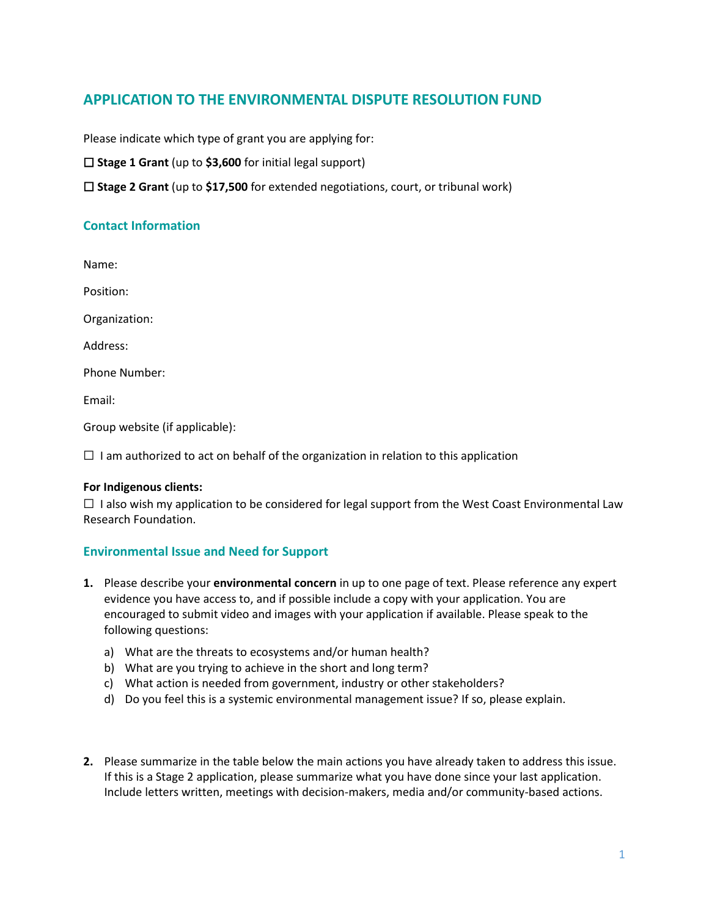# **APPLICATION TO THE ENVIRONMENTAL DISPUTE RESOLUTION FUND**

Please indicate which type of grant you are applying for:

☐ **Stage 1 Grant** (up to **\$3,600** for initial legal support)

☐ **Stage 2 Grant** (up to **\$17,500** for extended negotiations, court, or tribunal work)

# **Contact Information**

Name:

Position:

Organization:

Address:

Phone Number:

Email:

Group website (if applicable):

 $\Box$  I am authorized to act on behalf of the organization in relation to this application

## **For Indigenous clients:**

 $\Box$  I also wish my application to be considered for legal support from the West Coast Environmental Law Research Foundation.

## **Environmental Issue and Need for Support**

- **1.** Please describe your **environmental concern** in up to one page of text. Please reference any expert evidence you have access to, and if possible include a copy with your application. You are encouraged to submit video and images with your application if available. Please speak to the following questions:
	- a) What are the threats to ecosystems and/or human health?
	- b) What are you trying to achieve in the short and long term?
	- c) What action is needed from government, industry or other stakeholders?
	- d) Do you feel this is a systemic environmental management issue? If so, please explain.
- **2.** Please summarize in the table below the main actions you have already taken to address this issue. If this is a Stage 2 application, please summarize what you have done since your last application. Include letters written, meetings with decision-makers, media and/or community-based actions.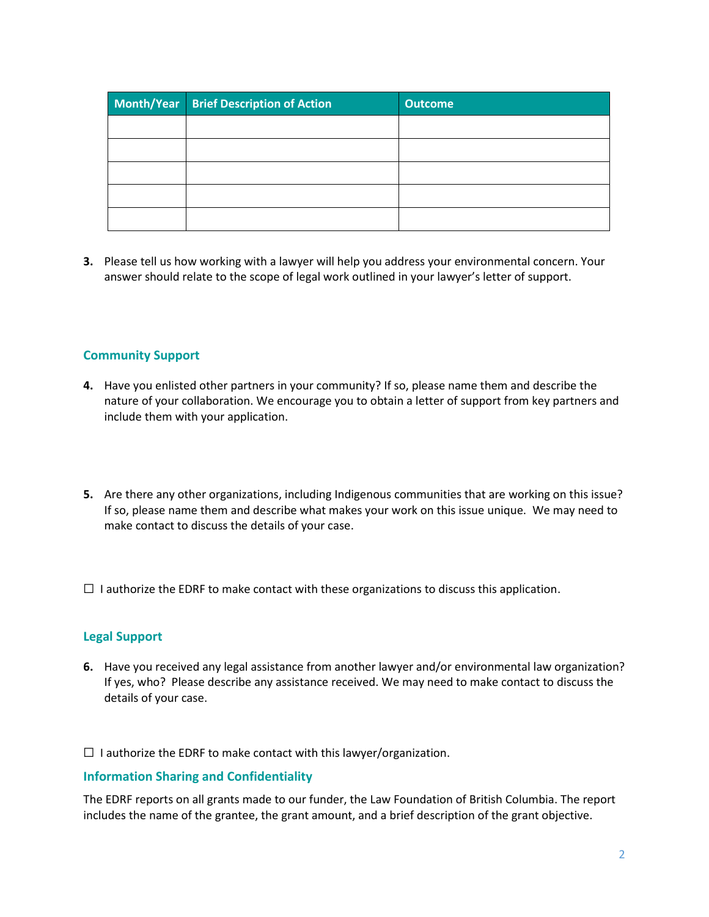| Month/Year Brief Description of Action | <b>Outcome</b> |
|----------------------------------------|----------------|
|                                        |                |
|                                        |                |
|                                        |                |
|                                        |                |
|                                        |                |

**3.** Please tell us how working with a lawyer will help you address your environmental concern. Your answer should relate to the scope of legal work outlined in your lawyer's letter of support.

# **Community Support**

- **4.** Have you enlisted other partners in your community? If so, please name them and describe the nature of your collaboration. We encourage you to obtain a letter of support from key partners and include them with your application.
- **5.** Are there any other organizations, including Indigenous communities that are working on this issue? If so, please name them and describe what makes your work on this issue unique. We may need to make contact to discuss the details of your case.
- $\Box$  I authorize the EDRF to make contact with these organizations to discuss this application.

## **Legal Support**

**6.** Have you received any legal assistance from another lawyer and/or environmental law organization? If yes, who? Please describe any assistance received. We may need to make contact to discuss the details of your case.

 $\Box$  I authorize the EDRF to make contact with this lawyer/organization.

## **Information Sharing and Confidentiality**

The EDRF reports on all grants made to our funder, the Law Foundation of British Columbia. The report includes the name of the grantee, the grant amount, and a brief description of the grant objective.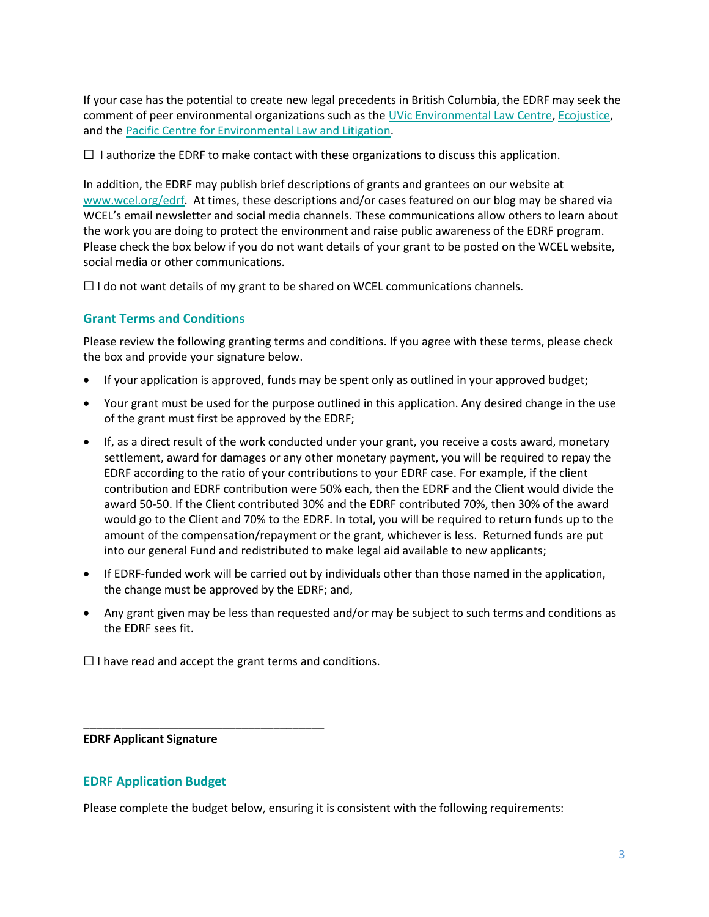If your case has the potential to create new legal precedents in British Columbia, the EDRF may seek the comment of peer environmental organizations such as th[e UVic Environmental Law Centre,](http://www.elc.uvic.ca/) [Ecojustice,](https://www.ecojustice.ca/) and th[e Pacific Centre for Environmental Law and Litigation.](https://www.pacificcell.ca/)

 $\Box$  I authorize the EDRF to make contact with these organizations to discuss this application.

In addition, the EDRF may publish brief descriptions of grants and grantees on our website at [www.wcel.org/edrf.](http://www.wcel.org/edrf) At times, these descriptions and/or cases featured on our blog may be shared via WCEL's email newsletter and social media channels. These communications allow others to learn about the work you are doing to protect the environment and raise public awareness of the EDRF program. Please check the box below if you do not want details of your grant to be posted on the WCEL website, social media or other communications.

 $\Box$  I do not want details of my grant to be shared on WCEL communications channels.

# **Grant Terms and Conditions**

Please review the following granting terms and conditions. If you agree with these terms, please check the box and provide your signature below.

- If your application is approved, funds may be spent only as outlined in your approved budget;
- Your grant must be used for the purpose outlined in this application. Any desired change in the use of the grant must first be approved by the EDRF;
- If, as a direct result of the work conducted under your grant, you receive a costs award, monetary settlement, award for damages or any other monetary payment, you will be required to repay the EDRF according to the ratio of your contributions to your EDRF case. For example, if the client contribution and EDRF contribution were 50% each, then the EDRF and the Client would divide the award 50-50. If the Client contributed 30% and the EDRF contributed 70%, then 30% of the award would go to the Client and 70% to the EDRF. In total, you will be required to return funds up to the amount of the compensation/repayment or the grant, whichever is less. Returned funds are put into our general Fund and redistributed to make legal aid available to new applicants;
- If EDRF-funded work will be carried out by individuals other than those named in the application, the change must be approved by the EDRF; and,
- Any grant given may be less than requested and/or may be subject to such terms and conditions as the EDRF sees fit.

 $\Box$  I have read and accept the grant terms and conditions.

\_\_\_\_\_\_\_\_\_\_\_\_\_\_\_\_\_\_\_\_\_\_\_\_\_\_\_\_\_\_\_\_\_\_\_\_\_\_

**EDRF Applicant Signature**

## **EDRF Application Budget**

Please complete the budget below, ensuring it is consistent with the following requirements: